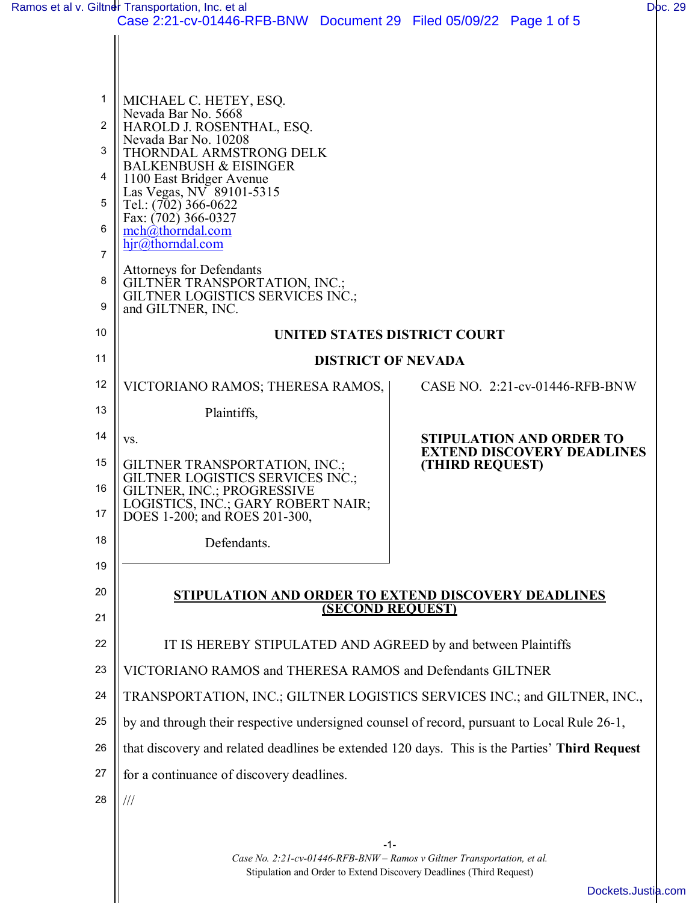|                | Ramos et al v. Giltner Transportation, Inc. et al                                             | Doc. 29                                              |  |  |
|----------------|-----------------------------------------------------------------------------------------------|------------------------------------------------------|--|--|
|                | Case 2:21-cv-01446-RFB-BNW Document 29 Filed 05/09/22 Page 1 of 5                             |                                                      |  |  |
|                |                                                                                               |                                                      |  |  |
|                |                                                                                               |                                                      |  |  |
| 1              | MICHAEL C. HETEY, ESQ.<br>Nevada Bar No. 5668                                                 |                                                      |  |  |
| 2              | HAROLD J. ROSENTHAL, ESQ.<br>Nevada Bar No. 10208                                             |                                                      |  |  |
| 3              | THORNDAL ARMSTRONG DELK<br><b>BALKENBUSH &amp; EISINGER</b>                                   |                                                      |  |  |
| 4              | 1100 East Bridger Avenue<br>Las Vegas, NV 89101-5315                                          |                                                      |  |  |
| 5              | Tel.: (702) 366-0622<br>Fax: (702) 366-0327                                                   |                                                      |  |  |
| 6              | $mch(\hat{a})$ thorndal.com<br>hjr@thorndal.com                                               |                                                      |  |  |
| $\overline{7}$ |                                                                                               |                                                      |  |  |
| 8              | <b>Attorneys for Defendants</b><br>GILTNÉR TRANSPORTATION, INC.;                              |                                                      |  |  |
| 9              | <b>GILTNER LOGISTICS SERVICES INC.;</b><br>and GILTNER, INC.                                  |                                                      |  |  |
| 10             | UNITED STATES DISTRICT COURT                                                                  |                                                      |  |  |
| 11             | <b>DISTRICT OF NEVADA</b>                                                                     |                                                      |  |  |
| 12             | VICTORIANO RAMOS; THERESA RAMOS,                                                              | CASE NO. 2:21-cv-01446-RFB-BNW                       |  |  |
| 13             | Plaintiffs,                                                                                   |                                                      |  |  |
| 14             | VS.                                                                                           | <b>STIPULATION AND ORDER TO</b>                      |  |  |
| 15             | GILTNER TRANSPORTATION, INC.;                                                                 | <b>EXTEND DISCOVERY DEADLINES</b><br>(THIRD REQUEST) |  |  |
| 16             | GILTNER LOGISTICS SERVICES INC.;<br>GILTNER, INC.; PROGRESSIVE                                |                                                      |  |  |
| 17             | LOGISTICS, INC.; GARY ROBERT NAIR;<br>DOES 1-200; and ROES 201-300,                           |                                                      |  |  |
| 18             | Defendants.                                                                                   |                                                      |  |  |
| 19             |                                                                                               |                                                      |  |  |
| 20             | <b>STIPULATION AND ORDER TO EXTEND DISCOVERY DEADLINES</b>                                    |                                                      |  |  |
| 21             | <b>(SECOND REQUEST)</b>                                                                       |                                                      |  |  |
| 22             | IT IS HEREBY STIPULATED AND AGREED by and between Plaintiffs                                  |                                                      |  |  |
| 23             | VICTORIANO RAMOS and THERESA RAMOS and Defendants GILTNER                                     |                                                      |  |  |
| 24             | TRANSPORTATION, INC.; GILTNER LOGISTICS SERVICES INC.; and GILTNER, INC.,                     |                                                      |  |  |
| 25             | by and through their respective undersigned counsel of record, pursuant to Local Rule 26-1,   |                                                      |  |  |
| 26             | that discovery and related deadlines be extended 120 days. This is the Parties' Third Request |                                                      |  |  |
| 27             | for a continuance of discovery deadlines.                                                     |                                                      |  |  |
| 28             | $\frac{1}{1}$                                                                                 |                                                      |  |  |
|                |                                                                                               |                                                      |  |  |
|                | $-1-$                                                                                         |                                                      |  |  |

*Case No. 2:21-cv-01446-RFB-BNW – Ramos v Giltner Transportation, et al.* Stipulation and Order to Extend Discovery Deadlines (Third Request)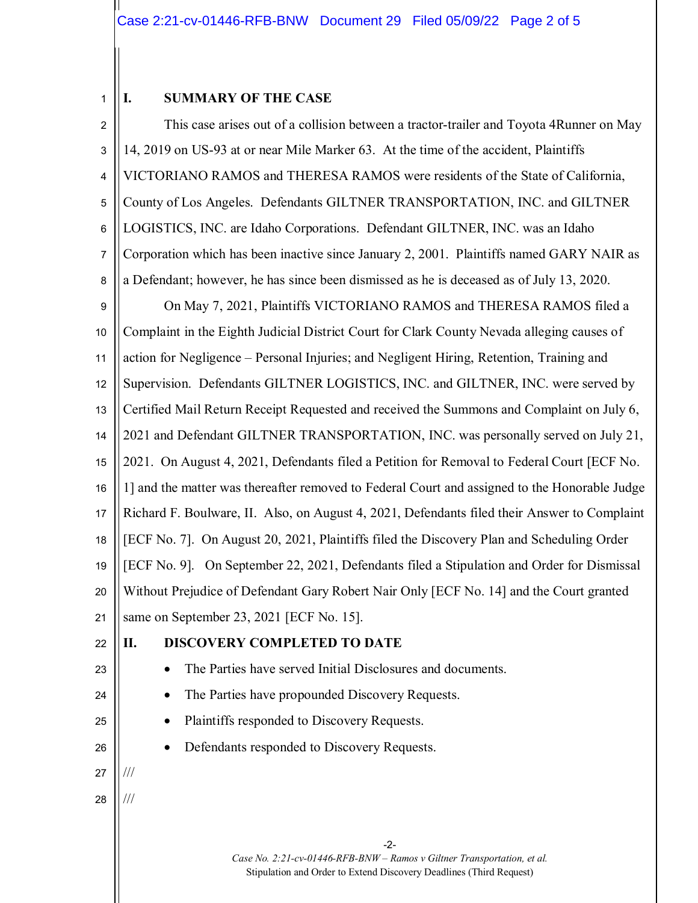## 1 **I. SUMMARY OF THE CASE**

-2- *Case No. 2:21-cv-01446-RFB-BNW – Ramos v Giltner Transportation, et al.* Stipulation and Order to Extend Discovery Deadlines (Third Request) 2 3 4 5 6 7 8 9 10 11 12 13 14 15 16 17 18 19 20 21 22 23 24 25 26 27 28 This case arises out of a collision between a tractor-trailer and Toyota 4Runner on May 14, 2019 on US-93 at or near Mile Marker 63. At the time of the accident, Plaintiffs VICTORIANO RAMOS and THERESA RAMOS were residents of the State of California, County of Los Angeles. Defendants GILTNER TRANSPORTATION, INC. and GILTNER LOGISTICS, INC. are Idaho Corporations. Defendant GILTNER, INC. was an Idaho Corporation which has been inactive since January 2, 2001. Plaintiffs named GARY NAIR as a Defendant; however, he has since been dismissed as he is deceased as of July 13, 2020. On May 7, 2021, Plaintiffs VICTORIANO RAMOS and THERESA RAMOS filed a Complaint in the Eighth Judicial District Court for Clark County Nevada alleging causes of action for Negligence – Personal Injuries; and Negligent Hiring, Retention, Training and Supervision. Defendants GILTNER LOGISTICS, INC. and GILTNER, INC. were served by Certified Mail Return Receipt Requested and received the Summons and Complaint on July 6, 2021 and Defendant GILTNER TRANSPORTATION, INC. was personally served on July 21, 2021. On August 4, 2021, Defendants filed a Petition for Removal to Federal Court [ECF No. 1] and the matter was thereafter removed to Federal Court and assigned to the Honorable Judge Richard F. Boulware, II. Also, on August 4, 2021, Defendants filed their Answer to Complaint [ECF No. 7]. On August 20, 2021, Plaintiffs filed the Discovery Plan and Scheduling Order [ECF No. 9]. On September 22, 2021, Defendants filed a Stipulation and Order for Dismissal Without Prejudice of Defendant Gary Robert Nair Only [ECF No. 14] and the Court granted same on September 23, 2021 [ECF No. 15]. **II. DISCOVERY COMPLETED TO DATE** • The Parties have served Initial Disclosures and documents. • The Parties have propounded Discovery Requests. • Plaintiffs responded to Discovery Requests. Defendants responded to Discovery Requests. /// ///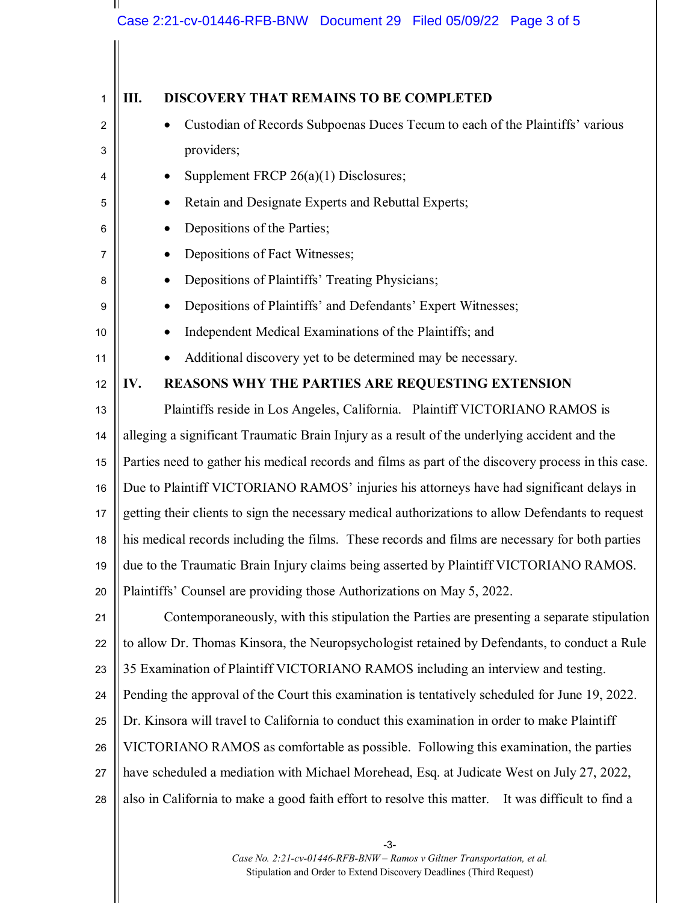## Case 2:21-cv-01446-RFB-BNW Document 29 Filed 05/09/22 Page 3 of 5

Ш

| 1  | Ш.<br><b>DISCOVERY THAT REMAINS TO BE COMPLETED</b>                                                 |  |  |  |  |
|----|-----------------------------------------------------------------------------------------------------|--|--|--|--|
| 2  | Custodian of Records Subpoenas Duces Tecum to each of the Plaintiffs' various                       |  |  |  |  |
| 3  | providers;                                                                                          |  |  |  |  |
| 4  | Supplement FRCP 26(a)(1) Disclosures;                                                               |  |  |  |  |
| 5  | Retain and Designate Experts and Rebuttal Experts;                                                  |  |  |  |  |
| 6  | Depositions of the Parties;                                                                         |  |  |  |  |
| 7  | Depositions of Fact Witnesses;                                                                      |  |  |  |  |
| 8  | Depositions of Plaintiffs' Treating Physicians;                                                     |  |  |  |  |
| 9  | Depositions of Plaintiffs' and Defendants' Expert Witnesses;                                        |  |  |  |  |
| 10 | Independent Medical Examinations of the Plaintiffs; and                                             |  |  |  |  |
| 11 | Additional discovery yet to be determined may be necessary.                                         |  |  |  |  |
| 12 | IV.<br>REASONS WHY THE PARTIES ARE REQUESTING EXTENSION                                             |  |  |  |  |
| 13 | Plaintiffs reside in Los Angeles, California. Plaintiff VICTORIANO RAMOS is                         |  |  |  |  |
| 14 | alleging a significant Traumatic Brain Injury as a result of the underlying accident and the        |  |  |  |  |
| 15 | Parties need to gather his medical records and films as part of the discovery process in this case. |  |  |  |  |
| 16 | Due to Plaintiff VICTORIANO RAMOS' injuries his attorneys have had significant delays in            |  |  |  |  |
| 17 | getting their clients to sign the necessary medical authorizations to allow Defendants to request   |  |  |  |  |
| 18 | his medical records including the films. These records and films are necessary for both parties     |  |  |  |  |
| 19 | due to the Traumatic Brain Injury claims being asserted by Plaintiff VICTORIANO RAMOS.              |  |  |  |  |
| 20 | Plaintiffs' Counsel are providing those Authorizations on May 5, 2022.                              |  |  |  |  |
| 21 | Contemporaneously, with this stipulation the Parties are presenting a separate stipulation          |  |  |  |  |
| 22 | to allow Dr. Thomas Kinsora, the Neuropsychologist retained by Defendants, to conduct a Rule        |  |  |  |  |
| 23 | 35 Examination of Plaintiff VICTORIANO RAMOS including an interview and testing.                    |  |  |  |  |
| 24 | Pending the approval of the Court this examination is tentatively scheduled for June 19, 2022.      |  |  |  |  |
| 25 | Dr. Kinsora will travel to California to conduct this examination in order to make Plaintiff        |  |  |  |  |
| 26 | VICTORIANO RAMOS as comfortable as possible. Following this examination, the parties                |  |  |  |  |
| 27 | have scheduled a mediation with Michael Morehead, Esq. at Judicate West on July 27, 2022,           |  |  |  |  |
| 28 | also in California to make a good faith effort to resolve this matter. It was difficult to find a   |  |  |  |  |
|    |                                                                                                     |  |  |  |  |

-3- *Case No. 2:21-cv-01446-RFB-BNW – Ramos v Giltner Transportation, et al.* Stipulation and Order to Extend Discovery Deadlines (Third Request)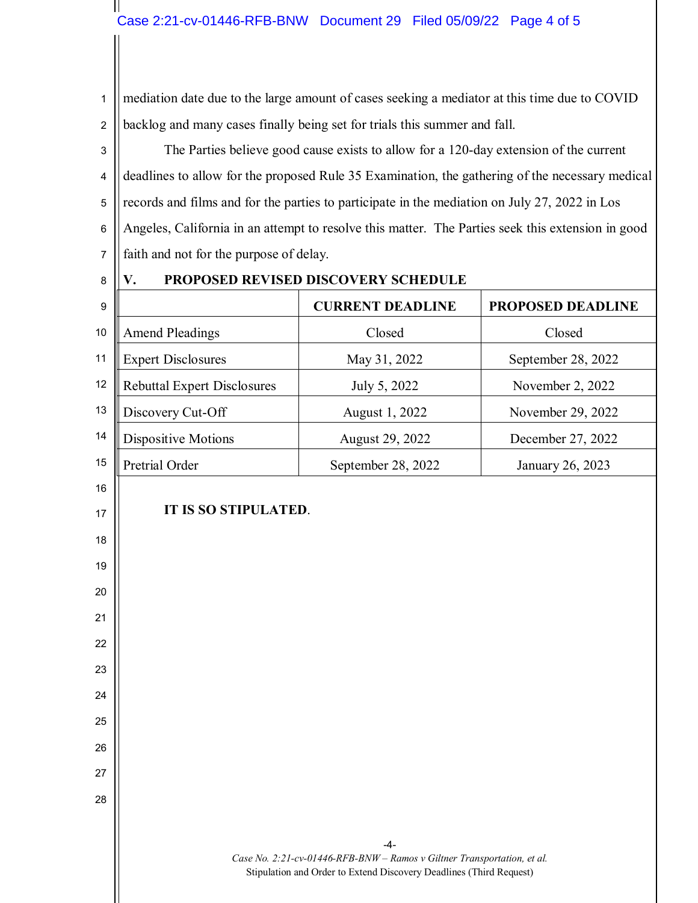1 2 mediation date due to the large amount of cases seeking a mediator at this time due to COVID backlog and many cases finally being set for trials this summer and fall.

3 4 5 6 7 The Parties believe good cause exists to allow for a 120-day extension of the current deadlines to allow for the proposed Rule 35 Examination, the gathering of the necessary medical records and films and for the parties to participate in the mediation on July 27, 2022 in Los Angeles, California in an attempt to resolve this matter. The Parties seek this extension in good faith and not for the purpose of delay.

8

 $\mathbf{\mathsf{I}}$ 

19

20

21

22

23

24

25

26

27

28

## **V. PROPOSED REVISED DISCOVERY SCHEDULE**

| 9  |                                    | <b>CURRENT DEADLINE</b> | <b>PROPOSED DEADLINE</b> |  |  |
|----|------------------------------------|-------------------------|--------------------------|--|--|
| 10 | <b>Amend Pleadings</b>             | Closed                  | Closed                   |  |  |
| 11 | <b>Expert Disclosures</b>          | May 31, 2022            | September 28, 2022       |  |  |
| 12 | <b>Rebuttal Expert Disclosures</b> | July 5, 2022            | November 2, 2022         |  |  |
| 13 | Discovery Cut-Off                  | August 1, 2022          | November 29, 2022        |  |  |
| 14 | Dispositive Motions                | August 29, 2022         | December 27, 2022        |  |  |
| 15 | Pretrial Order                     | September 28, 2022      | January 26, 2023         |  |  |
| 16 |                                    |                         |                          |  |  |
| 17 | IT IS SO STIPULATED.               |                         |                          |  |  |
| 18 |                                    |                         |                          |  |  |

-4- *Case No. 2:21-cv-01446-RFB-BNW – Ramos v Giltner Transportation, et al.* Stipulation and Order to Extend Discovery Deadlines (Third Request)